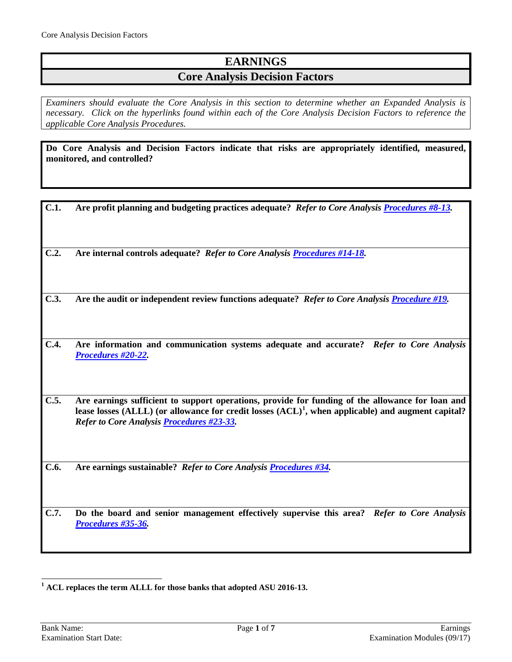# **EARNINGS**

## **Core Analysis Decision Factors**

*Examiners should evaluate the Core Analysis in this section to determine whether an Expanded Analysis is necessary. Click on the hyperlinks found within each of the Core Analysis Decision Factors to reference the applicable Core Analysis Procedures.*

**Do Core Analysis and Decision Factors indicate that risks are appropriately identified, measured, monitored, and controlled?**

| C.1. | Are profit planning and budgeting practices adequate? Refer to Core Analysis Procedures #8-13.                                                                                                                                                                 |
|------|----------------------------------------------------------------------------------------------------------------------------------------------------------------------------------------------------------------------------------------------------------------|
| C.2. | Are internal controls adequate? Refer to Core Analysis <b>Procedures #14-18</b> .                                                                                                                                                                              |
| C.3. | Are the audit or independent review functions adequate? Refer to Core Analysis Procedure #19.                                                                                                                                                                  |
| C.4. | Are information and communication systems adequate and accurate? Refer to Core Analysis<br>Procedures #20-22.                                                                                                                                                  |
| C.5. | Are earnings sufficient to support operations, provide for funding of the allowance for loan and<br>lease losses (ALLL) (or allowance for credit losses $(ACL)^1$ , when applicable) and augment capital?<br>Refer to Core Analysis <b>Procedures #23-33</b> . |
| C.6. | Are earnings sustainable? Refer to Core Analysis Procedures #34.                                                                                                                                                                                               |
| C.7. | Do the board and senior management effectively supervise this area? Refer to Core Analysis                                                                                                                                                                     |

<span id="page-0-0"></span>**<sup>1</sup> ACL replaces the term ALLL for those banks that adopted ASU 2016-13.**

*[Procedures #35-36.](#page-6-1)*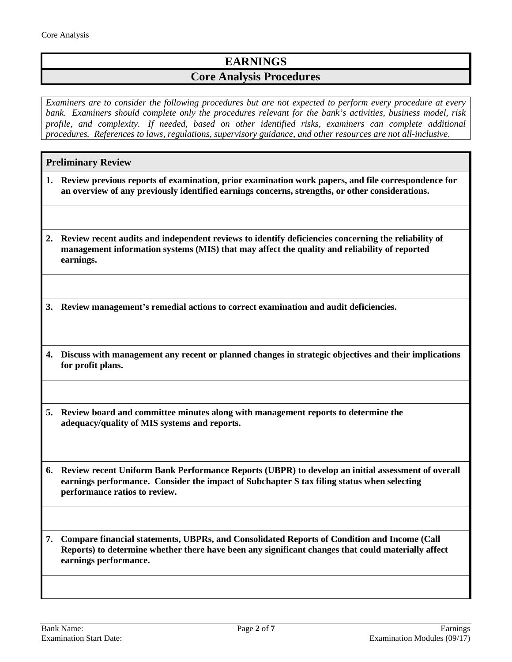## **EARNINGS**

## **Core Analysis Procedures**

*Examiners are to consider the following procedures but are not expected to perform every procedure at every bank. Examiners should complete only the procedures relevant for the bank's activities, business model, risk profile, and complexity. If needed, based on other identified risks, examiners can complete additional procedures. References to laws, regulations, supervisory guidance, and other resources are not all-inclusive.*

### **Preliminary Review**

- **1. Review previous reports of examination, prior examination work papers, and file correspondence for an overview of any previously identified earnings concerns, strengths, or other considerations.**
- **2. Review recent audits and independent reviews to identify deficiencies concerning the reliability of management information systems (MIS) that may affect the quality and reliability of reported earnings.**

**3. Review management's remedial actions to correct examination and audit deficiencies.**

**4. Discuss with management any recent or planned changes in strategic objectives and their implications for profit plans.**

**5. Review board and committee minutes along with management reports to determine the adequacy/quality of MIS systems and reports.**

**6. Review recent Uniform Bank Performance Reports (UBPR) to develop an initial assessment of overall earnings performance. Consider the impact of Subchapter S tax filing status when selecting performance ratios to review.**

**7. Compare financial statements, UBPRs, and Consolidated Reports of Condition and Income (Call Reports) to determine whether there have been any significant changes that could materially affect earnings performance.**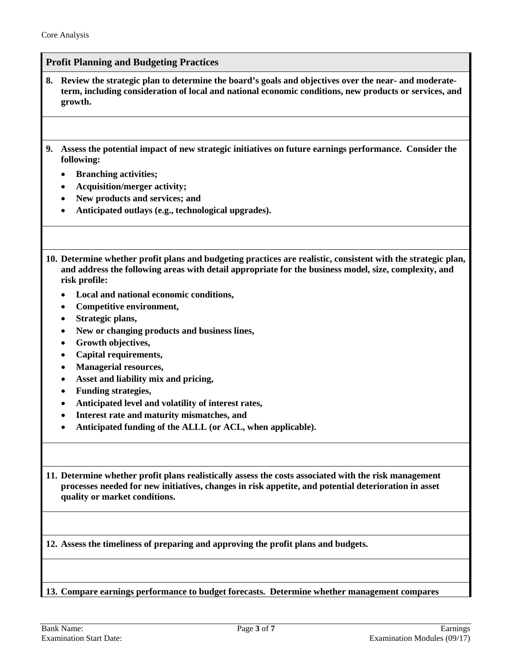### <span id="page-2-0"></span>**Profit Planning and Budgeting Practices**

- **8. Review the strategic plan to determine the board's goals and objectives over the near- and moderateterm, including consideration of local and national economic conditions, new products or services, and growth.**
- **9. Assess the potential impact of new strategic initiatives on future earnings performance. Consider the following:**
	- **Branching activities;**
	- **Acquisition/merger activity;**
	- **New products and services; and**
	- **Anticipated outlays (e.g., technological upgrades).**
- **10. Determine whether profit plans and budgeting practices are realistic, consistent with the strategic plan, and address the following areas with detail appropriate for the business model, size, complexity, and risk profile:**
	- **Local and national economic conditions,**
	- **Competitive environment,**
	- **Strategic plans,**
	- **New or changing products and business lines,**
	- **Growth objectives,**
	- **Capital requirements,**
	- **Managerial resources,**
	- **Asset and liability mix and pricing,**
	- **Funding strategies,**
	- **Anticipated level and volatility of interest rates,**
	- **Interest rate and maturity mismatches, and**
	- **Anticipated funding of the ALLL (or ACL, when applicable).**

**11. Determine whether profit plans realistically assess the costs associated with the risk management processes needed for new initiatives, changes in risk appetite, and potential deterioration in asset quality or market conditions.**

**12. Assess the timeliness of preparing and approving the profit plans and budgets.**

**13. Compare earnings performance to budget forecasts. Determine whether management compares**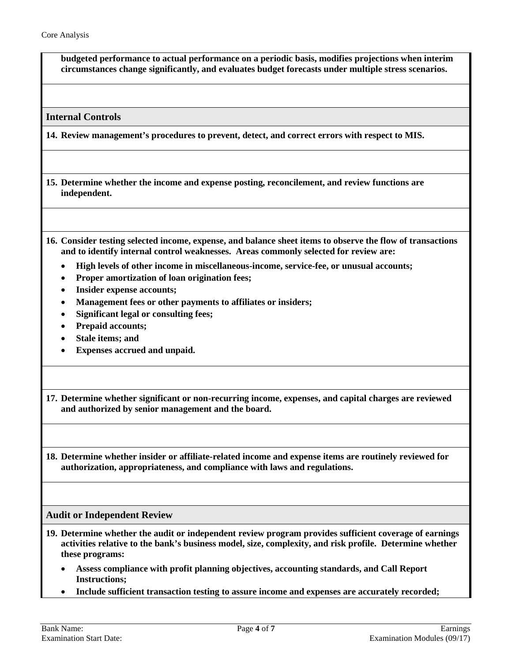**budgeted performance to actual performance on a periodic basis, modifies projections when interim circumstances change significantly, and evaluates budget forecasts under multiple stress scenarios.**

<span id="page-3-0"></span>**Internal Controls**

**14. Review management's procedures to prevent, detect, and correct errors with respect to MIS.** 

**15. Determine whether the income and expense posting, reconcilement, and review functions are independent.** 

**16. Consider testing selected income, expense, and balance sheet items to observe the flow of transactions and to identify internal control weaknesses. Areas commonly selected for review are:**

- **High levels of other income in miscellaneous-income, service-fee, or unusual accounts;**
- **Proper amortization of loan origination fees;**
- **Insider expense accounts;**
- **Management fees or other payments to affiliates or insiders;**
- **Significant legal or consulting fees;**
- **Prepaid accounts;**
- **Stale items; and**
- **Expenses accrued and unpaid.**

**17. Determine whether significant or non-recurring income, expenses, and capital charges are reviewed and authorized by senior management and the board.**

**18. Determine whether insider or affiliate-related income and expense items are routinely reviewed for authorization, appropriateness, and compliance with laws and regulations.**

<span id="page-3-1"></span>**Audit or Independent Review**

- **19. Determine whether the audit or independent review program provides sufficient coverage of earnings activities relative to the bank's business model, size, complexity, and risk profile. Determine whether these programs:** 
	- **Assess compliance with profit planning objectives, accounting standards, and Call Report Instructions;**
	- **Include sufficient transaction testing to assure income and expenses are accurately recorded;**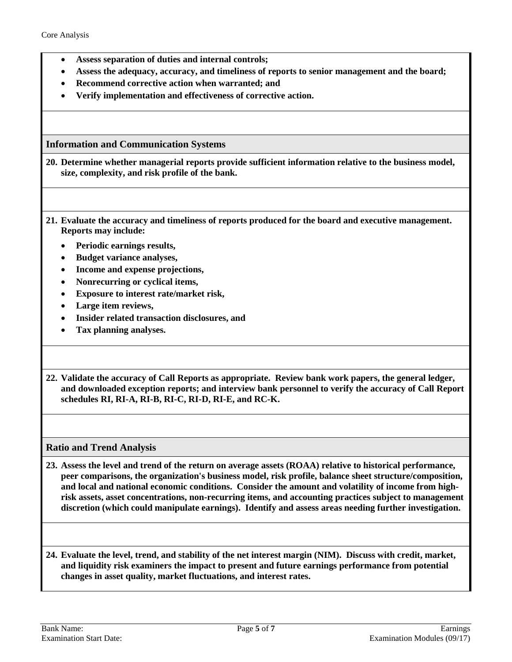- **Assess separation of duties and internal controls;**
- **Assess the adequacy, accuracy, and timeliness of reports to senior management and the board;**
- **Recommend corrective action when warranted; and**
- **Verify implementation and effectiveness of corrective action.**

<span id="page-4-0"></span>**Information and Communication Systems**

**20. Determine whether managerial reports provide sufficient information relative to the business model, size, complexity, and risk profile of the bank.**

- **21. Evaluate the accuracy and timeliness of reports produced for the board and executive management. Reports may include:**
	- **Periodic earnings results,**
	- **Budget variance analyses,**
	- **Income and expense projections,**
	- **Nonrecurring or cyclical items,**
	- **Exposure to interest rate/market risk,**
	- **Large item reviews,**
	- **Insider related transaction disclosures, and**
	- **Tax planning analyses.**
- **22. Validate the accuracy of Call Reports as appropriate. Review bank work papers, the general ledger, and downloaded exception reports; and interview bank personnel to verify the accuracy of Call Report schedules RI, RI-A, RI-B, RI-C, RI-D, RI-E, and RC-K.**

<span id="page-4-1"></span>**Ratio and Trend Analysis**

**23. Assess the level and trend of the return on average assets (ROAA) relative to historical performance, peer comparisons, the organization's business model, risk profile, balance sheet structure/composition, and local and national economic conditions. Consider the amount and volatility of income from highrisk assets, asset concentrations, non-recurring items, and accounting practices subject to management discretion (which could manipulate earnings). Identify and assess areas needing further investigation.**

**24. Evaluate the level, trend, and stability of the net interest margin (NIM). Discuss with credit, market, and liquidity risk examiners the impact to present and future earnings performance from potential changes in asset quality, market fluctuations, and interest rates.**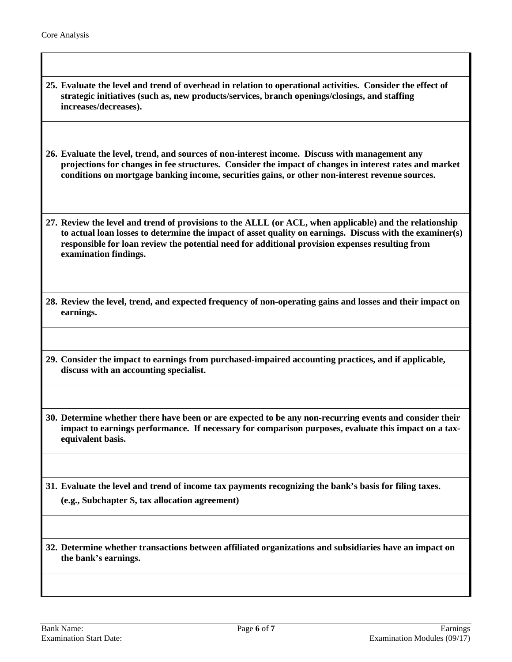**25. Evaluate the level and trend of overhead in relation to operational activities. Consider the effect of strategic initiatives (such as, new products/services, branch openings/closings, and staffing increases/decreases).**

**26. Evaluate the level, trend, and sources of non-interest income. Discuss with management any projections for changes in fee structures. Consider the impact of changes in interest rates and market conditions on mortgage banking income, securities gains, or other non-interest revenue sources.**

**27. Review the level and trend of provisions to the ALLL (or ACL, when applicable) and the relationship to actual loan losses to determine the impact of asset quality on earnings. Discuss with the examiner(s) responsible for loan review the potential need for additional provision expenses resulting from examination findings.**

**28. Review the level, trend, and expected frequency of non-operating gains and losses and their impact on earnings.**

**29. Consider the impact to earnings from purchased-impaired accounting practices, and if applicable, discuss with an accounting specialist.** 

**30. Determine whether there have been or are expected to be any non-recurring events and consider their impact to earnings performance. If necessary for comparison purposes, evaluate this impact on a taxequivalent basis.** 

**31. Evaluate the level and trend of income tax payments recognizing the bank's basis for filing taxes. (e.g., Subchapter S, tax allocation agreement)**

**32. Determine whether transactions between affiliated organizations and subsidiaries have an impact on the bank's earnings.**